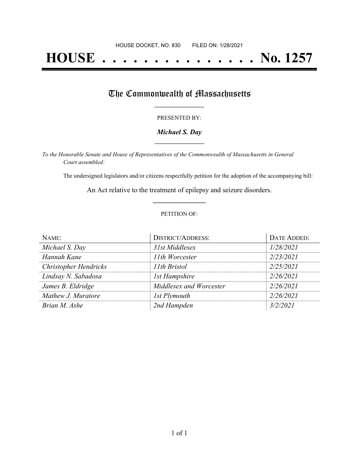# **HOUSE . . . . . . . . . . . . . . . No. 1257**

## The Commonwealth of Massachusetts

#### PRESENTED BY:

#### *Michael S. Day* **\_\_\_\_\_\_\_\_\_\_\_\_\_\_\_\_\_**

*To the Honorable Senate and House of Representatives of the Commonwealth of Massachusetts in General Court assembled:*

The undersigned legislators and/or citizens respectfully petition for the adoption of the accompanying bill:

An Act relative to the treatment of epilepsy and seizure disorders. **\_\_\_\_\_\_\_\_\_\_\_\_\_\_\_**

#### PETITION OF:

| NAME:                        | <b>DISTRICT/ADDRESS:</b> | DATE ADDED: |
|------------------------------|--------------------------|-------------|
| Michael S. Day               | 31st Middlesex           | 1/28/2021   |
| Hannah Kane                  | 11th Worcester           | 2/23/2021   |
| <b>Christopher Hendricks</b> | 11th Bristol             | 2/25/2021   |
| Lindsay N. Sabadosa          | 1st Hampshire            | 2/26/2021   |
| James B. Eldridge            | Middlesex and Worcester  | 2/26/2021   |
| Mathew J. Muratore           | 1st Plymouth             | 2/26/2021   |
| Brian M. Ashe                | 2nd Hampden              | 3/2/2021    |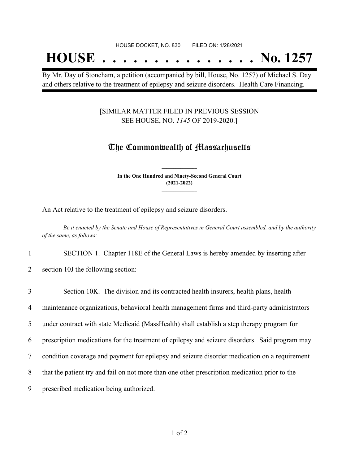## **HOUSE . . . . . . . . . . . . . . . No. 1257**

By Mr. Day of Stoneham, a petition (accompanied by bill, House, No. 1257) of Michael S. Day and others relative to the treatment of epilepsy and seizure disorders. Health Care Financing.

#### [SIMILAR MATTER FILED IN PREVIOUS SESSION SEE HOUSE, NO. *1145* OF 2019-2020.]

### The Commonwealth of Massachusetts

**In the One Hundred and Ninety-Second General Court (2021-2022) \_\_\_\_\_\_\_\_\_\_\_\_\_\_\_**

**\_\_\_\_\_\_\_\_\_\_\_\_\_\_\_**

An Act relative to the treatment of epilepsy and seizure disorders.

Be it enacted by the Senate and House of Representatives in General Court assembled, and by the authority *of the same, as follows:*

1 SECTION 1. Chapter 118E of the General Laws is hereby amended by inserting after

2 section 10J the following section:-

| 3              | Section 10K. The division and its contracted health insurers, health plans, health             |
|----------------|------------------------------------------------------------------------------------------------|
| $\overline{4}$ | maintenance organizations, behavioral health management firms and third-party administrators   |
| $5^{\circ}$    | under contract with state Medicaid (MassHealth) shall establish a step therapy program for     |
| 6              | prescription medications for the treatment of epilepsy and seizure disorders. Said program may |
| $\tau$         | condition coverage and payment for epilepsy and seizure disorder medication on a requirement   |
| 8              | that the patient try and fail on not more than one other prescription medication prior to the  |
| 9              | prescribed medication being authorized.                                                        |